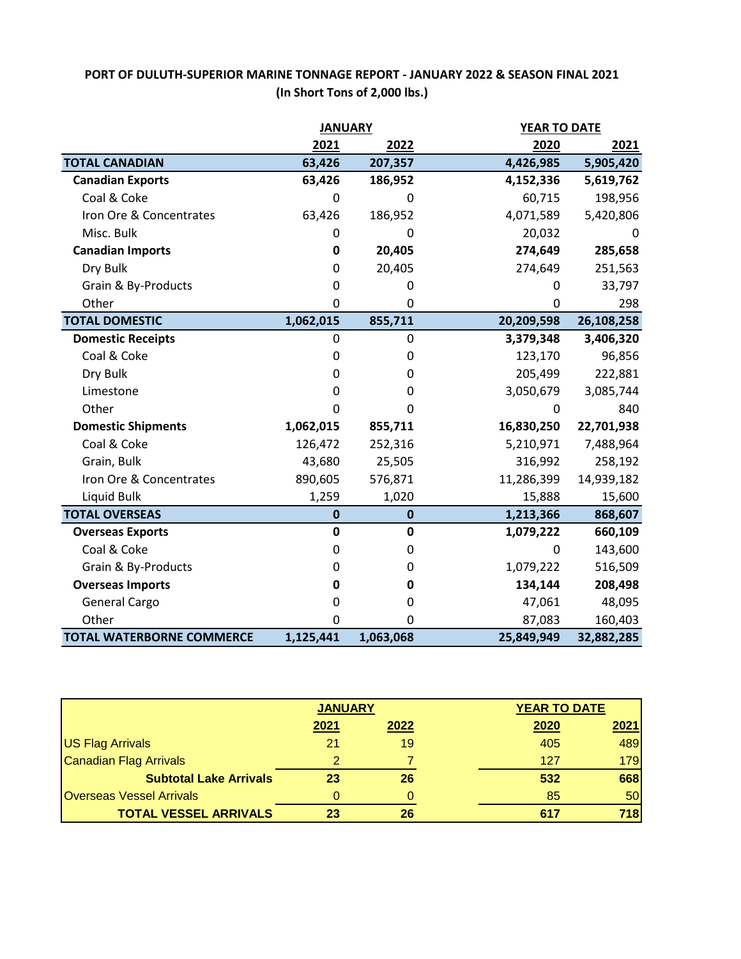## **PORT OF DULUTH-SUPERIOR MARINE TONNAGE REPORT - JANUARY 2022 & SEASON FINAL 2021 (In Short Tons of 2,000 lbs.)**

|                                  | <b>JANUARY</b> |             |            | YEAR TO DATE |  |
|----------------------------------|----------------|-------------|------------|--------------|--|
|                                  | 2021           | 2022        | 2020       | 2021         |  |
| <b>TOTAL CANADIAN</b>            | 63,426         | 207,357     | 4,426,985  | 5,905,420    |  |
| <b>Canadian Exports</b>          | 63,426         | 186,952     | 4,152,336  | 5,619,762    |  |
| Coal & Coke                      | $\mathbf{0}$   | 0           | 60,715     | 198,956      |  |
| Iron Ore & Concentrates          | 63,426         | 186,952     | 4,071,589  | 5,420,806    |  |
| Misc. Bulk                       | 0              | 0           | 20,032     | 0            |  |
| <b>Canadian Imports</b>          | $\mathbf 0$    | 20,405      | 274,649    | 285,658      |  |
| Dry Bulk                         | $\mathbf{0}$   | 20,405      | 274,649    | 251,563      |  |
| Grain & By-Products              | 0              | 0           | 0          | 33,797       |  |
| Other                            | $\mathbf 0$    | 0           | 0          | 298          |  |
| <b>TOTAL DOMESTIC</b>            | 1,062,015      | 855,711     | 20,209,598 | 26,108,258   |  |
| <b>Domestic Receipts</b>         | $\mathbf 0$    | 0           | 3,379,348  | 3,406,320    |  |
| Coal & Coke                      | $\mathbf{0}$   | 0           | 123,170    | 96,856       |  |
| Dry Bulk                         | 0              | 0           | 205,499    | 222,881      |  |
| Limestone                        | 0              | 0           | 3,050,679  | 3,085,744    |  |
| Other                            | $\mathbf 0$    | $\Omega$    | $\Omega$   | 840          |  |
| <b>Domestic Shipments</b>        | 1,062,015      | 855,711     | 16,830,250 | 22,701,938   |  |
| Coal & Coke                      | 126,472        | 252,316     | 5,210,971  | 7,488,964    |  |
| Grain, Bulk                      | 43,680         | 25,505      | 316,992    | 258,192      |  |
| Iron Ore & Concentrates          | 890,605        | 576,871     | 11,286,399 | 14,939,182   |  |
| Liquid Bulk                      | 1,259          | 1,020       | 15,888     | 15,600       |  |
| <b>TOTAL OVERSEAS</b>            | $\bf{0}$       | $\pmb{0}$   | 1,213,366  | 868,607      |  |
| <b>Overseas Exports</b>          | $\mathbf 0$    | $\mathbf 0$ | 1,079,222  | 660,109      |  |
| Coal & Coke                      | 0              | 0           | 0          | 143,600      |  |
| Grain & By-Products              | $\mathbf{0}$   | 0           | 1,079,222  | 516,509      |  |
| <b>Overseas Imports</b>          | 0              | 0           | 134,144    | 208,498      |  |
| <b>General Cargo</b>             | $\mathbf 0$    | 0           | 47,061     | 48,095       |  |
| Other                            | $\Omega$       | $\Omega$    | 87,083     | 160,403      |  |
| <b>TOTAL WATERBORNE COMMERCE</b> | 1,125,441      | 1,063,068   | 25,849,949 | 32,882,285   |  |

|                                 | <b>JANUARY</b> |      |      | <b>YEAR TO DATE</b> |  |
|---------------------------------|----------------|------|------|---------------------|--|
|                                 | 2021           | 2022 | 2020 | 2021                |  |
| <b>US Flag Arrivals</b>         | 21             | 19   | 405  | 489                 |  |
| Canadian Flag Arrivals          |                |      | 127  | 179                 |  |
| <b>Subtotal Lake Arrivals</b>   | 23             | 26   | 532  | 668                 |  |
| <b>Overseas Vessel Arrivals</b> |                |      | 85   | 50                  |  |
| <b>TOTAL VESSEL ARRIVALS</b>    | 23             | 26   | 617  | 718                 |  |